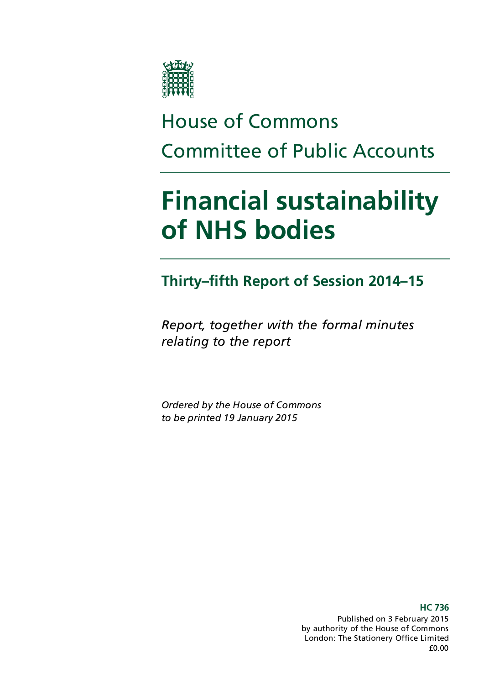

# House of Commons Committee of Public Accounts

# **Financial sustainability of NHS bodies**

## **Thirty–fifth Report of Session 2014–15**

*Report, together with the formal minutes relating to the report*

*Ordered by the House of Commons to be printed 19 January 2015*

> Published on 3 February 2015 by authority of the House of Commons London: The Stationery Office Limited £0.00

**HC 736**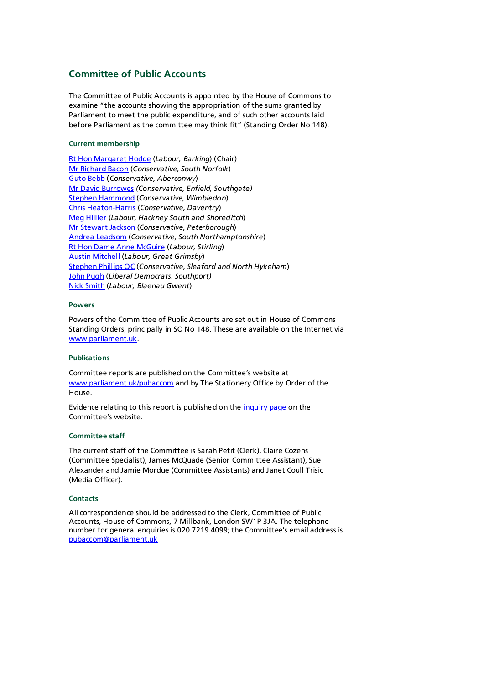### **Committee of Public Accounts**

The Committee of Public Accounts is appointed by the House of Commons to examine "the accounts showing the appropriation of the sums granted by Parliament to meet the public expenditure, and of such other accounts laid before Parliament as the committee may think fit" (Standing Order No 148).

### **Current membership**

[Rt Hon Margaret Hodge](http://www.parliament.uk/biographies/commons/margaret-hodge/140) (*Labour, Barking*) (Chair) [Mr Richard Bacon](http://www.parliament.uk/biographies/commons/mr-richard-bacon/1451) (*Conservative, South Norfolk*) [Guto Bebb](http://www.parliament.uk/biographies/commons/guto-bebb/3910) (*Conservative, Aberconwy*) [Mr David Burrowes](http://www.parliament.uk/biographies/commons/mr-david-burrowes/1518) *(Conservative, Enfield, Southgate)* [Stephen Hammond](http://www.parliament.uk/biographies/commons/stephen-hammond/1585) (*Conservative, Wimbledon*) [Chris Heaton-Harris](http://www.parliament.uk/biographies/commons/chris-heaton-harris/3977) (*Conservative, Daventry*) [Meg Hillier](http://www.parliament.uk/biographies/commons/meg-hillier/1524) (*Labour, Hackney South and Shoreditch*) [Mr Stewart Jackson](http://www.parliament.uk/biographies/commons/mr-stewart-jackson/1551) (*Conservative, Peterborough*) [Andrea Leadsom](http://www.parliament.uk/biographies/commons/andrea-leadsom/4117) (*Conservative, South Northamptonshire*) [Rt Hon Dame Anne McGuire](http://www.parliament.uk/biographies/commons/mrs-anne-mcguire/636) (*Labour, Stirling*) [Austin Mitchell](http://www.parliament.uk/biographies/commons/austin-mitchell/372) (*Labour, Great Grimsby*) [Stephen Phillips QC](http://www.parliament.uk/biographies/commons/stephen-phillips/4054) (*Conservative, Sleaford and North Hykeham*) [John Pugh](http://www.parliament.uk/biographies/commons/john-pugh/1454) (*Liberal Democrats. Southport)* [Nick Smith](http://www.parliament.uk/biographies/commons/nick-smith/3928) (*Labour, Blaenau Gwent*)

#### **Powers**

Powers of the Committee of Public Accounts are set out in House of Commons Standing Orders, principally in SO No 148. These are available on the Internet via [www.parliament.uk.](http://www.parliament.uk/)

#### **Publications**

Committee reports are published on the Committee's website at [www.parliament.uk/pubaccom](http://www.parliament.uk/business/committees/committees-a-z/commons-select/public-accounts-committee/) and by The Stationery Office by Order of the House.

Evidence relating to this report is published on the *inquiry page* on the Committee's website.

#### **Committee staff**

The current staff of the Committee is Sarah Petit (Clerk), Claire Cozens (Committee Specialist), James McQuade (Senior Committee Assistant), Sue Alexander and Jamie Mordue (Committee Assistants) and Janet Coull Trisic (Media Officer).

#### **Contacts**

All correspondence should be addressed to the Clerk, Committee of Public Accounts, House of Commons, 7 Millbank, London SW1P 3JA. The telephone number for general enquiries is 020 7219 4099; the Committee's email address is [pubaccom@parliament.uk](mailto:pubaccom@parliament.uk)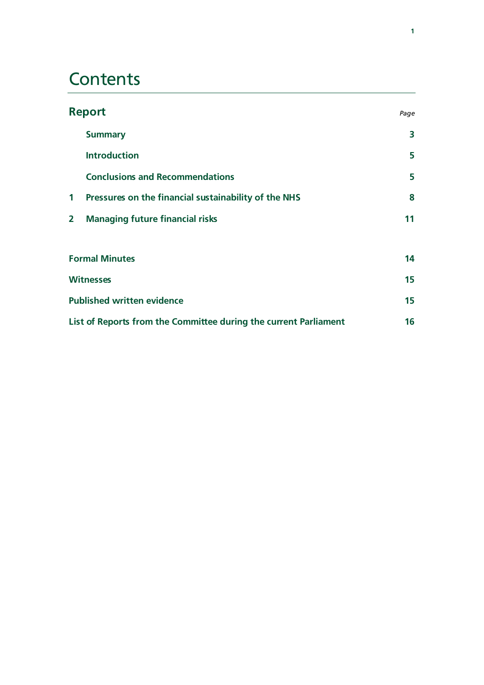# **Contents**

| <b>Report</b>                     |                                                                  | Page |
|-----------------------------------|------------------------------------------------------------------|------|
|                                   | <b>Summary</b>                                                   | 3    |
|                                   | <b>Introduction</b>                                              | 5    |
|                                   | <b>Conclusions and Recommendations</b>                           | 5    |
| $\mathbf 1$                       | Pressures on the financial sustainability of the NHS             | 8    |
| $\overline{2}$                    | <b>Managing future financial risks</b>                           | 11   |
|                                   |                                                                  |      |
| <b>Formal Minutes</b>             |                                                                  | 14   |
| <b>Witnesses</b>                  |                                                                  | 15   |
| <b>Published written evidence</b> |                                                                  | 15   |
|                                   | List of Reports from the Committee during the current Parliament |      |
|                                   |                                                                  |      |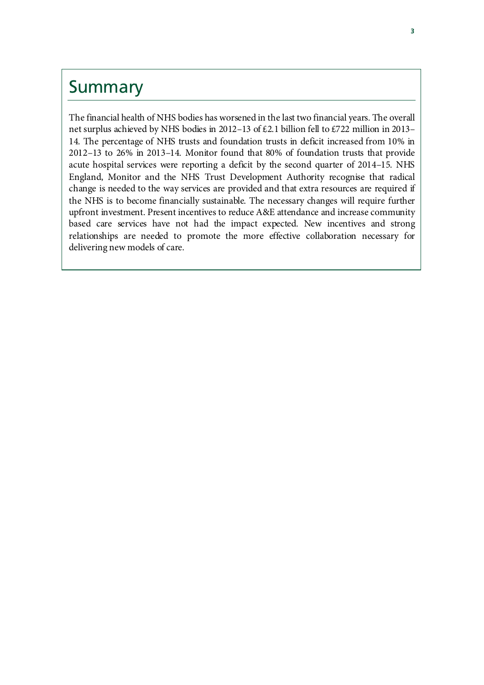### Summary

The financial health of NHS bodies has worsened in the last two financial years. The overall net surplus achieved by NHS bodies in 2012–13 of £2.1 billion fell to £722 million in 2013– 14. The percentage of NHS trusts and foundation trusts in deficit increased from 10% in 2012–13 to 26% in 2013–14. Monitor found that 80% of foundation trusts that provide acute hospital services were reporting a deficit by the second quarter of 2014–15. NHS England, Monitor and the NHS Trust Development Authority recognise that radical change is needed to the way services are provided and that extra resources are required if the NHS is to become financially sustainable. The necessary changes will require further upfront investment. Present incentives to reduce A&E attendance and increase community based care services have not had the impact expected. New incentives and strong relationships are needed to promote the more effective collaboration necessary for delivering new models of care.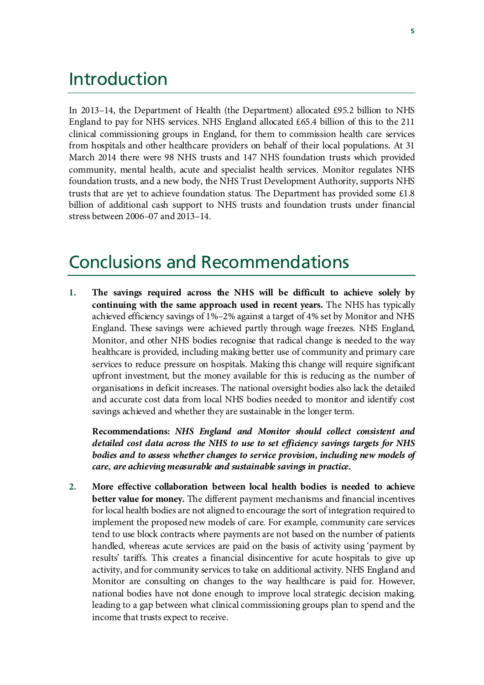### Introduction

In 2013–14, the Department of Health (the Department) allocated £95.2 billion to NHS England to pay for NHS services. NHS England allocated £65.4 billion of this to the 211 clinical commissioning groups in England, for them to commission health care services from hospitals and other healthcare providers on behalf of their local populations. At 31 March 2014 there were 98 NHS trusts and 147 NHS foundation trusts which provided community, mental health, acute and specialist health services. Monitor regulates NHS foundation trusts, and a new body, the NHS Trust Development Authority, supports NHS trusts that are yet to achieve foundation status. The Department has provided some £1.8 billion of additional cash support to NHS trusts and foundation trusts under financial stress between 2006–07 and 2013–14.

### Conclusions and Recommendations

**1. The savings required across the NHS will be difficult to achieve solely by continuing with the same approach used in recent years.** The NHS has typically achieved efficiency savings of 1%–2% against a target of 4% set by Monitor and NHS England. These savings were achieved partly through wage freezes. NHS England, Monitor, and other NHS bodies recognise that radical change is needed to the way healthcare is provided, including making better use of community and primary care services to reduce pressure on hospitals. Making this change will require significant upfront investment, but the money available for this is reducing as the number of organisations in deficit increases. The national oversight bodies also lack the detailed and accurate cost data from local NHS bodies needed to monitor and identify cost savings achieved and whether they are sustainable in the longer term.

**Recommendations:** *NHS England and Monitor should collect consistent and detailed cost data across the NHS to use to set efficiency savings targets for NHS bodies and to assess whether changes to service provision, including new models of care, are achieving measurable and sustainable savings in practice.*

**2. More effective collaboration between local health bodies is needed to achieve better value for money.** The different payment mechanisms and financial incentives for local health bodies are not aligned to encourage the sort of integration required to implement the proposed new models of care. For example, community care services tend to use block contracts where payments are not based on the number of patients handled, whereas acute services are paid on the basis of activity using 'payment by results' tariffs. This creates a financial disincentive for acute hospitals to give up activity, and for community services to take on additional activity. NHS England and Monitor are consulting on changes to the way healthcare is paid for. However, national bodies have not done enough to improve local strategic decision making, leading to a gap between what clinical commissioning groups plan to spend and the income that trusts expect to receive.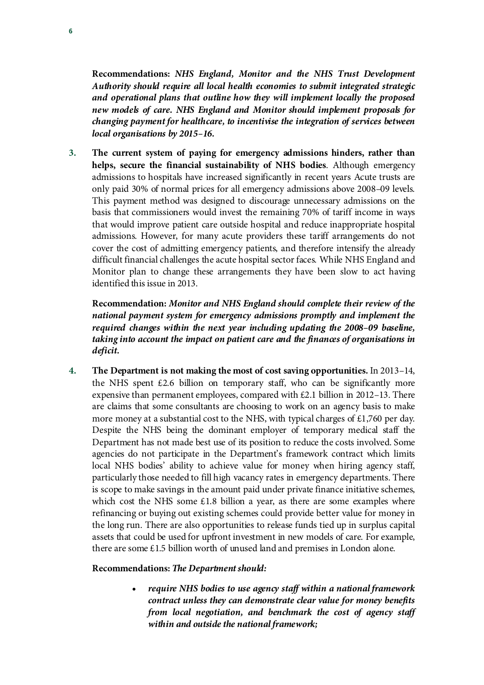**Recommendations:** *NHS England, Monitor and the NHS Trust Development Authority should require all local health economies to submit integrated strategic and operational plans that outline how they will implement locally the proposed new models of care. NHS England and Monitor should implement proposals for changing payment for healthcare, to incentivise the integration of services between local organisations by 2015–16.*

**3. The current system of paying for emergency admissions hinders, rather than helps, secure the financial sustainability of NHS bodies**. Although emergency admissions to hospitals have increased significantly in recent years Acute trusts are only paid 30% of normal prices for all emergency admissions above 2008–09 levels. This payment method was designed to discourage unnecessary admissions on the basis that commissioners would invest the remaining 70% of tariff income in ways that would improve patient care outside hospital and reduce inappropriate hospital admissions. However, for many acute providers these tariff arrangements do not cover the cost of admitting emergency patients, and therefore intensify the already difficult financial challenges the acute hospital sector faces. While NHS England and Monitor plan to change these arrangements they have been slow to act having identified this issue in 2013.

**Recommendation:** *Monitor and NHS England should complete their review of the national payment system for emergency admissions promptly and implement the required changes within the next year including updating the 2008–09 baseline, taking into account the impact on patient care and the finances of organisations in deficit.*

**4. The Department is not making the most of cost saving opportunities.** In 2013–14, the NHS spent  $£2.6$  billion on temporary staff, who can be significantly more expensive than permanent employees, compared with £2.1 billion in 2012–13. There are claims that some consultants are choosing to work on an agency basis to make more money at a substantial cost to the NHS, with typical charges of  $\text{\pounds}1,760$  per day. Despite the NHS being the dominant employer of temporary medical staff the Department has not made best use of its position to reduce the costs involved. Some agencies do not participate in the Department's framework contract which limits local NHS bodies' ability to achieve value for money when hiring agency staff, particularly those needed to fill high vacancy rates in emergency departments. There is scope to make savings in the amount paid under private finance initiative schemes, which cost the NHS some  $\pounds$ 1.8 billion a year, as there are some examples where refinancing or buying out existing schemes could provide better value for money in the long run. There are also opportunities to release funds tied up in surplus capital assets that could be used for upfront investment in new models of care. For example, there are some £1.5 billion worth of unused land and premises in London alone.

### **Recommendations:** *The Department should:*

• *require NHS bodies to use agency staff within a national framework contract unless they can demonstrate clear value for money benefits from local negotiation, and benchmark the cost of agency staff within and outside the national framework;*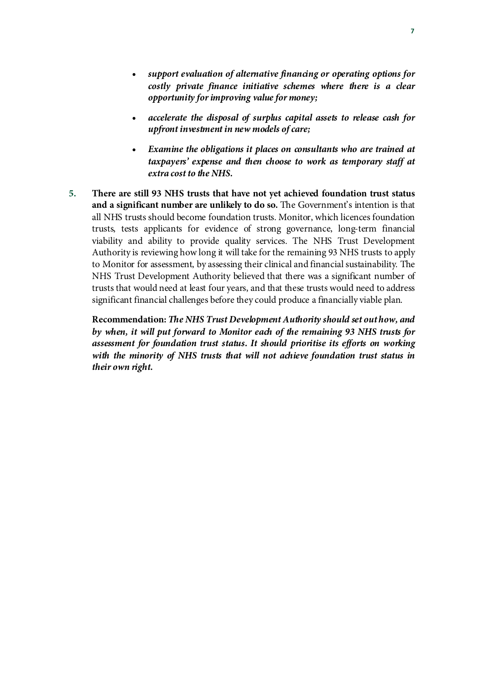- *accelerate the disposal of surplus capital assets to release cash for upfront investment in new models of care;*
- *Examine the obligations it places on consultants who are trained at taxpayers' expense and then choose to work as temporary staff at extra cost to the NHS.*
- **5. There are still 93 NHS trusts that have not yet achieved foundation trust status and a significant number are unlikely to do so.** The Government's intention is that all NHS trusts should become foundation trusts. Monitor, which licences foundation trusts, tests applicants for evidence of strong governance, long-term financial viability and ability to provide quality services. The NHS Trust Development Authority is reviewing how long it will take for the remaining 93 NHS trusts to apply to Monitor for assessment, by assessing their clinical and financial sustainability. The NHS Trust Development Authority believed that there was a significant number of trusts that would need at least four years, and that these trusts would need to address significant financial challenges before they could produce a financially viable plan.

**Recommendation:** *The NHS Trust Development Authority should set out how, and by when, it will put forward to Monitor each of the remaining 93 NHS trusts for assessment for foundation trust status. It should prioritise its efforts on working with the minority of NHS trusts that will not achieve foundation trust status in their own right.*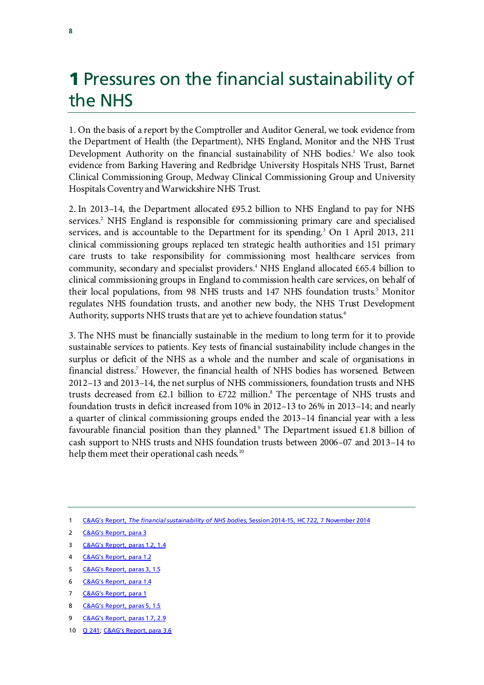# **1 Pressures on the financial sustainability of** the NHS

1. On the basis of a report by the Comptroller and Auditor General, we took evidence from the Department of Health (the Department), NHS England, Monitor and the NHS Trust Development Authority on the financial sustainability of NHS bodies.<sup>1</sup> We also took evidence from Barking Havering and Redbridge University Hospitals NHS Trust, Barnet Clinical Commissioning Group, Medway Clinical Commissioning Group and University Hospitals Coventry and Warwickshire NHS Trust.

2. In 2013–14, the Department allocated £95.2 billion to NHS England to pay for NHS services[.2](#page-9-1) NHS England is responsible for commissioning primary care and specialised services, and is accountable to the Department for its spending.<sup>[3](#page-9-2)</sup> On 1 April 2013, 211 clinical commissioning groups replaced ten strategic health authorities and 151 primary care trusts to take responsibility for commissioning most healthcare services from community, secondary and specialist providers. [4](#page-9-3) NHS England allocated £65.4 billion to clinical commissioning groups in England to commission health care services, on behalf of their local populations, from 98 NHS trusts and 147 NHS foundation trusts.<sup>[5](#page-9-4)</sup> Monitor regulates NHS foundation trusts, and another new body, the NHS Trust Development Authority, supports NHS trusts that are yet to achieve foundation status.<sup>[6](#page-9-5)</sup>

3. The NHS must be financially sustainable in the medium to long term for it to provide sustainable services to patients. Key tests of financial sustainability include changes in the surplus or deficit of the NHS as a whole and the number and scale of organisations in financial distress[.7](#page-9-6) However, the financial health of NHS bodies has worsened. Between 2012–13 and 2013–14, the net surplus of NHS commissioners, foundation trusts and NHS trusts decreased from £2.1 billion to £722 million.<sup>8</sup> The percentage of NHS trusts and foundation trusts in deficit increased from 10% in 2012–13 to 26% in 2013–14; and nearly a quarter of clinical commissioning groups ended the 2013–14 financial year with a less favourable financial position than they planned.<sup>[9](#page-9-8)</sup> The Department issued £1.8 billion of cash support to NHS trusts and NHS foundation trusts between 2006–07 and 2013–14 to help them meet their operational cash needs.<sup>[10](#page-9-9)</sup>

- <span id="page-9-2"></span>3 [C&AG's Report,](http://www.nao.org.uk/wp-content/uploads/2014/11/The-financial-sustainability-of-NHS-bodies.pdf) paras 1.2, 1.4
- <span id="page-9-3"></span>4 [C&AG's Report, para 1.2](http://www.nao.org.uk/wp-content/uploads/2014/11/The-financial-sustainability-of-NHS-bodies.pdf)
- <span id="page-9-4"></span>5 [C&AG's Report, paras 3, 1.5](http://www.nao.org.uk/wp-content/uploads/2014/11/The-financial-sustainability-of-NHS-bodies.pdf)
- <span id="page-9-5"></span>6 [C&AG's Report, para 1.4](http://www.nao.org.uk/wp-content/uploads/2014/11/The-financial-sustainability-of-NHS-bodies.pdf)
- <span id="page-9-6"></span>7 [C&AG's Report, para 1](http://www.nao.org.uk/wp-content/uploads/2014/11/The-financial-sustainability-of-NHS-bodies.pdf)
- <span id="page-9-7"></span>8 [C&AG's Report,](http://www.nao.org.uk/wp-content/uploads/2014/11/The-financial-sustainability-of-NHS-bodies.pdf) paras 5, 1.5
- <span id="page-9-8"></span>9 [C&AG's Report, paras 1.7, 2.9](http://www.nao.org.uk/wp-content/uploads/2014/11/The-financial-sustainability-of-NHS-bodies.pdf)
- <span id="page-9-9"></span>10 [Q 241;](http://data.parliament.uk/writtenevidence/committeeevidence.svc/evidencedocument/public-accounts-committee/financial-sustainability-of-nhs-bodies/oral/15643.html) [C&AG's Report, para 3.6](http://www.nao.org.uk/wp-content/uploads/2014/11/The-financial-sustainability-of-NHS-bodies.pdf)

<span id="page-9-0"></span><sup>1</sup> C&AG's Report, *The financial sustainability of NHS bodies,* [Session 2014-15, HC 722, 7 November 2014](http://www.nao.org.uk/wp-content/uploads/2014/11/The-financial-sustainability-of-NHS-bodies.pdf)

<span id="page-9-1"></span><sup>2</sup> [C&AG's Report, para 3](http://www.nao.org.uk/wp-content/uploads/2014/11/The-financial-sustainability-of-NHS-bodies.pdf)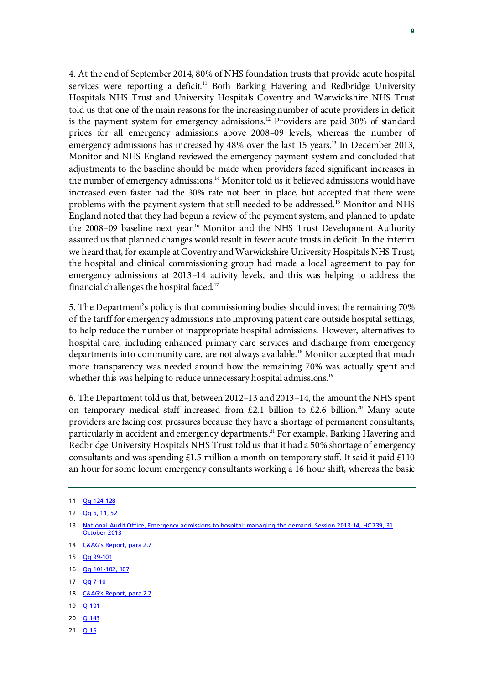4. At the end of September 2014, 80% of NHS foundation trusts that provide acute hospital services were reporting a deficit.<sup>[11](#page-10-0)</sup> Both Barking Havering and Redbridge University Hospitals NHS Trust and University Hospitals Coventry and Warwickshire NHS Trust told us that one of the main reasons for the increasing number of acute providers in deficit is the payment system for emergency admissions.<sup>[12](#page-10-1)</sup> Providers are paid 30% of standard prices for all emergency admissions above 2008–09 levels, whereas the number of emergency admissions has increased by 48% over the last 15 years[.13](#page-10-2) In December 2013, Monitor and NHS England reviewed the emergency payment system and concluded that adjustments to the baseline should be made when providers faced significant increases in the number of emergency admissions.<sup>[14](#page-10-3)</sup> Monitor told us it believed admissions would have increased even faster had the 30% rate not been in place, but accepted that there were problems with the payment system that still needed to be addressed[.15](#page-10-4) Monitor and NHS England noted that they had begun a review of the payment system, and planned to update the 2008–09 baseline next year.<sup>16</sup> Monitor and the NHS Trust Development Authority assured us that planned changes would result in fewer acute trusts in deficit. In the interim we heard that, for example at Coventry and Warwickshire University Hospitals NHS Trust, the hospital and clinical commissioning group had made a local agreement to pay for emergency admissions at 2013–14 activity levels, and this was helping to address the financial challenges the hospital faced. [17](#page-10-6)

5. The Department's policy is that commissioning bodies should invest the remaining 70% of the tariff for emergency admissions into improving patient care outside hospital settings, to help reduce the number of inappropriate hospital admissions. However, alternatives to hospital care, including enhanced primary care services and discharge from emergency departments into community care, are not always available.<sup>[18](#page-10-7)</sup> Monitor accepted that much more transparency was needed around how the remaining 70% was actually spent and whether this was helping to reduce unnecessary hospital admissions.<sup>[19](#page-10-8)</sup>

6. The Department told us that, between 2012–13 and 2013–14, the amount the NHS spent on temporary medical staff increased from £2.1 billion to £2.6 billion.<sup>20</sup> Many acute providers are facing cost pressures because they have a shortage of permanent consultants, particularly in accident and emergency departments.<sup>21</sup> For example, Barking Havering and Redbridge University Hospitals NHS Trust told us that it had a 50% shortage of emergency consultants and was spending £1.5 million a month on temporary staff. It said it paid £110 an hour for some locum emergency consultants working a 16 hour shift, whereas the basic

- <span id="page-10-5"></span>16 [Qq 101-102, 107](http://data.parliament.uk/writtenevidence/committeeevidence.svc/evidencedocument/public-accounts-committee/financial-sustainability-of-nhs-bodies/oral/15643.html)
- <span id="page-10-6"></span>17 [Qq 7-10](http://data.parliament.uk/writtenevidence/committeeevidence.svc/evidencedocument/public-accounts-committee/financial-sustainability-of-nhs-bodies/oral/15643.html)
- <span id="page-10-7"></span>18 [C&AG's Report, para 2.7](http://www.nao.org.uk/wp-content/uploads/2014/11/The-financial-sustainability-of-NHS-bodies.pdf)
- <span id="page-10-8"></span>19 <u>Q 10</u>1
- <span id="page-10-9"></span>20 [Q 143](http://data.parliament.uk/writtenevidence/committeeevidence.svc/evidencedocument/public-accounts-committee/financial-sustainability-of-nhs-bodies/oral/15643.html)
- <span id="page-10-10"></span>21 [Q 16](http://data.parliament.uk/writtenevidence/committeeevidence.svc/evidencedocument/public-accounts-committee/financial-sustainability-of-nhs-bodies/oral/15643.html)

<span id="page-10-0"></span><sup>11</sup> [Qq 124-128](http://data.parliament.uk/writtenevidence/committeeevidence.svc/evidencedocument/public-accounts-committee/financial-sustainability-of-nhs-bodies/oral/15643.html)

<span id="page-10-1"></span><sup>12</sup> [Qq 6, 11, 52](http://data.parliament.uk/writtenevidence/committeeevidence.svc/evidencedocument/public-accounts-committee/financial-sustainability-of-nhs-bodies/oral/15643.html)

<span id="page-10-2"></span><sup>13</sup> National Audit Office, Emergency admissions to hospital: managing the demand, Session 2013-14, HC 739, 31 [October 2013](http://www.nao.org.uk/wp-content/uploads/2013/10/10288-001-Emergency-admissions.pdf)

<span id="page-10-3"></span><sup>14</sup> [C&AG's Report, para 2.7](http://www.nao.org.uk/wp-content/uploads/2014/11/The-financial-sustainability-of-NHS-bodies.pdf)

<span id="page-10-4"></span><sup>15</sup> [Qq 99-101](http://data.parliament.uk/writtenevidence/committeeevidence.svc/evidencedocument/public-accounts-committee/financial-sustainability-of-nhs-bodies/oral/15643.html)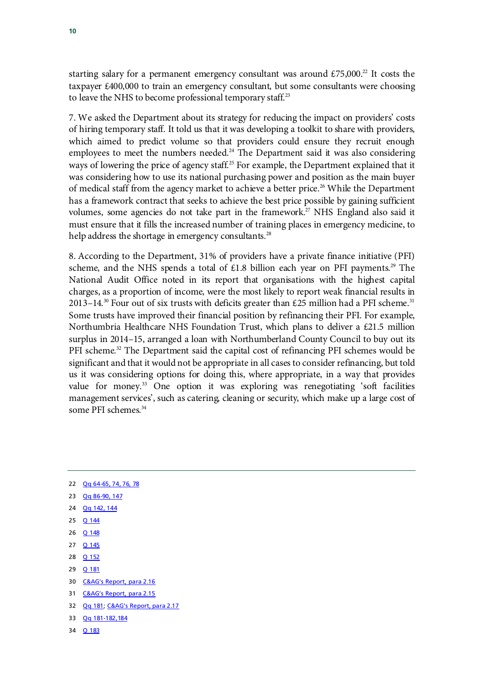starting salary for a permanent emergency consultant was around  $£75,000.^2$  It costs the taxpayer £400,000 to train an emergency consultant, but some consultants were choosing to leave the NHS to become professional temporary staff.<sup>[23](#page-11-1)</sup>

7. We asked the Department about its strategy for reducing the impact on providers' costs of hiring temporary staff. It told us that it was developing a toolkit to share with providers, which aimed to predict volume so that providers could ensure they recruit enough employees to meet the numbers needed.<sup>[24](#page-11-2)</sup> The Department said it was also considering ways of lowering the price of agency staff.<sup>[25](#page-11-3)</sup> For example, the Department explained that it was considering how to use its national purchasing power and position as the main buyer of medical staff from the agency market to achieve a better price.<sup>[26](#page-11-4)</sup> While the Department has a framework contract that seeks to achieve the best price possible by gaining sufficient volumes, some agencies do not take part in the framework.<sup>27</sup> NHS England also said it must ensure that it fills the increased number of training places in emergency medicine, to help address the shortage in emergency consultants.<sup>[28](#page-11-6)</sup>

8. According to the Department, 31% of providers have a private finance initiative (PFI) scheme, and the NHS spends a total of  $£1.8$  billion each year on PFI payments.<sup>[29](#page-11-7)</sup> The National Audit Office noted in its report that organisations with the highest capital charges, as a proportion of income, were the most likely to report weak financial results in 2013–14.<sup>[30](#page-11-8)</sup> Four out of six trusts with deficits greater than £25 million had a PFI scheme.<sup>[31](#page-11-9)</sup> Some trusts have improved their financial position by refinancing their PFI. For example, Northumbria Healthcare NHS Foundation Trust, which plans to deliver a £21.5 million surplus in 2014–15, arranged a loan with Northumberland County Council to buy out its PFI scheme.<sup>[32](#page-11-10)</sup> The Department said the capital cost of refinancing PFI schemes would be significant and that it would not be appropriate in all cases to consider refinancing, but told us it was considering options for doing this, where appropriate, in a way that provides value for money.<sup>[33](#page-11-11)</sup> One option it was exploring was renegotiating 'soft facilities management services', such as catering, cleaning or security, which make up a large cost of some PFI schemes.<sup>[34](#page-11-12)</sup>

- <span id="page-11-1"></span>23 <u>Qq 86-90, 1</u>47
- <span id="page-11-2"></span>24 [Qq 142, 144](http://data.parliament.uk/writtenevidence/committeeevidence.svc/evidencedocument/public-accounts-committee/financial-sustainability-of-nhs-bodies/oral/15643.html)
- <span id="page-11-3"></span>25 [Q 144](http://data.parliament.uk/writtenevidence/committeeevidence.svc/evidencedocument/public-accounts-committee/financial-sustainability-of-nhs-bodies/oral/15643.html)
- <span id="page-11-4"></span>26 <u>[Q 148](http://data.parliament.uk/writtenevidence/committeeevidence.svc/evidencedocument/public-accounts-committee/financial-sustainability-of-nhs-bodies/oral/15643.html)</u>
- <span id="page-11-5"></span>27 **[Q 145](http://data.parliament.uk/writtenevidence/committeeevidence.svc/evidencedocument/public-accounts-committee/financial-sustainability-of-nhs-bodies/oral/15643.html)**
- <span id="page-11-6"></span>28 [Q 152](http://data.parliament.uk/writtenevidence/committeeevidence.svc/evidencedocument/public-accounts-committee/financial-sustainability-of-nhs-bodies/oral/15643.html)
- <span id="page-11-7"></span>29 [Q 181](http://data.parliament.uk/writtenevidence/committeeevidence.svc/evidencedocument/public-accounts-committee/financial-sustainability-of-nhs-bodies/oral/15643.html)
- <span id="page-11-8"></span>30 [C&AG's Report, para 2.16](http://www.nao.org.uk/wp-content/uploads/2014/11/The-financial-sustainability-of-NHS-bodies.pdf)
- <span id="page-11-9"></span>31 [C&AG's Report, para 2.15](http://www.nao.org.uk/wp-content/uploads/2014/11/The-financial-sustainability-of-NHS-bodies.pdf)
- <span id="page-11-10"></span>32 [Qq 181;](http://data.parliament.uk/writtenevidence/committeeevidence.svc/evidencedocument/public-accounts-committee/financial-sustainability-of-nhs-bodies/oral/15643.html) [C&AG's Report, para 2.17](http://www.nao.org.uk/wp-content/uploads/2014/11/The-financial-sustainability-of-NHS-bodies.pdf)
- <span id="page-11-11"></span>33 [Qq 181-182,184](http://data.parliament.uk/writtenevidence/committeeevidence.svc/evidencedocument/public-accounts-committee/financial-sustainability-of-nhs-bodies/oral/15643.html)
- <span id="page-11-12"></span>34 [Q 183](http://data.parliament.uk/writtenevidence/committeeevidence.svc/evidencedocument/public-accounts-committee/financial-sustainability-of-nhs-bodies/oral/15643.html)

<span id="page-11-0"></span><sup>22</sup> [Qq 64-65, 74, 76, 78](http://data.parliament.uk/writtenevidence/committeeevidence.svc/evidencedocument/public-accounts-committee/financial-sustainability-of-nhs-bodies/oral/15643.html)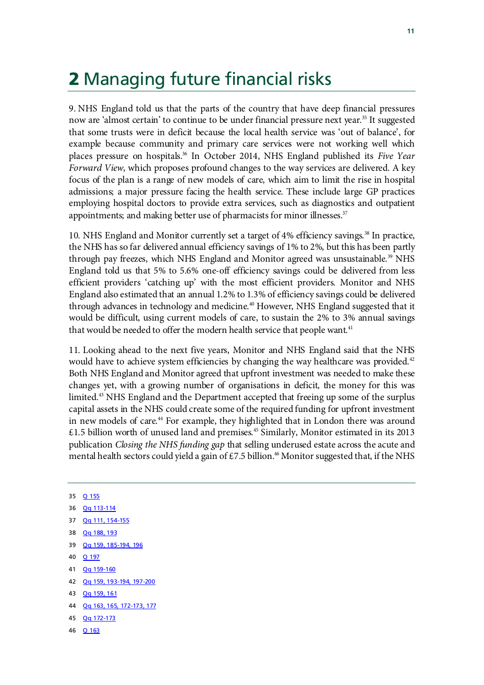# 2 Managing future financial risks

9. NHS England told us that the parts of the country that have deep financial pressures now are 'almost certain' to continue to be under financial pressure next year.<sup>[35](#page-12-0)</sup> It suggested that some trusts were in deficit because the local health service was 'out of balance', for example because community and primary care services were not working well which places pressure on hospitals[.36](#page-12-1) In October 2014, NHS England published its *Five Year Forward View*, which proposes profound changes to the way services are delivered. A key focus of the plan is a range of new models of care, which aim to limit the rise in hospital admissions; a major pressure facing the health service. These include large GP practices employing hospital doctors to provide extra services, such as diagnostics and outpatient appointments; and making better use of pharmacists for minor illnesses. $37$ 

10. NHS England and Monitor currently set a target of 4% efficiency savings.<sup>38</sup> In practice, the NHS has so far delivered annual efficiency savings of 1% to 2%, but this has been partly through pay freezes, which NHS England and Monitor agreed was unsustainable. [39](#page-12-4) NHS England told us that 5% to 5.6% one-off efficiency savings could be delivered from less efficient providers 'catching up' with the most efficient providers. Monitor and NHS England also estimated that an annual 1.2% to 1.3% of efficiency savings could be delivered through advances in technology and medicine.<sup>[40](#page-12-5)</sup> However, NHS England suggested that it would be difficult, using current models of care, to sustain the 2% to 3% annual savings that would be needed to offer the modern health service that people want.<sup>[41](#page-12-6)</sup>

11. Looking ahead to the next five years, Monitor and NHS England said that the NHS would have to achieve system efficiencies by changing the way healthcare was provided.<sup>[42](#page-12-7)</sup> Both NHS England and Monitor agreed that upfront investment was needed to make these changes yet, with a growing number of organisations in deficit, the money for this was limited.<sup>[43](#page-12-8)</sup> NHS England and the Department accepted that freeing up some of the surplus capital assets in the NHS could create some of the required funding for upfront investment in new models of care.<sup>[44](#page-12-9)</sup> For example, they highlighted that in London there was around  $£1.5$  billion worth of unused land and premises.<sup>[45](#page-12-10)</sup> Similarly, Monitor estimated in its 2013 publication *Closing the NHS funding gap* that selling underused estate across the acute and mental health sectors could yield a gain of £7.5 billion.<sup>[46](#page-12-11)</sup> Monitor suggested that, if the NHS

- <span id="page-12-1"></span><span id="page-12-0"></span>35 [Q 155](http://data.parliament.uk/writtenevidence/committeeevidence.svc/evidencedocument/public-accounts-committee/financial-sustainability-of-nhs-bodies/oral/15643.html) 36 [Qq 113-114](http://data.parliament.uk/writtenevidence/committeeevidence.svc/evidencedocument/public-accounts-committee/financial-sustainability-of-nhs-bodies/oral/15643.html) 37 [Qq 111, 154-155](http://data.parliament.uk/writtenevidence/committeeevidence.svc/evidencedocument/public-accounts-committee/financial-sustainability-of-nhs-bodies/oral/15643.html) 38 [Qq 188, 193](http://data.parliament.uk/writtenevidence/committeeevidence.svc/evidencedocument/public-accounts-committee/financial-sustainability-of-nhs-bodies/oral/15643.html)
- <span id="page-12-4"></span><span id="page-12-3"></span><span id="page-12-2"></span>39 [Qq 159, 185-194, 196](http://data.parliament.uk/writtenevidence/committeeevidence.svc/evidencedocument/public-accounts-committee/financial-sustainability-of-nhs-bodies/oral/15643.html)
- <span id="page-12-5"></span>40 [Q 197](http://data.parliament.uk/writtenevidence/committeeevidence.svc/evidencedocument/public-accounts-committee/financial-sustainability-of-nhs-bodies/oral/15643.html)
- <span id="page-12-6"></span>41 [Qq 159-160](http://data.parliament.uk/writtenevidence/committeeevidence.svc/evidencedocument/public-accounts-committee/financial-sustainability-of-nhs-bodies/oral/15643.html)
- <span id="page-12-7"></span>42 [Qq 159, 193-194, 197-200](http://data.parliament.uk/writtenevidence/committeeevidence.svc/evidencedocument/public-accounts-committee/financial-sustainability-of-nhs-bodies/oral/15643.html)
- <span id="page-12-8"></span>43 [Qq 159, 161](http://data.parliament.uk/writtenevidence/committeeevidence.svc/evidencedocument/public-accounts-committee/financial-sustainability-of-nhs-bodies/oral/15643.html)
- <span id="page-12-9"></span>44 [Qq 163, 165, 172-173, 177](http://data.parliament.uk/writtenevidence/committeeevidence.svc/evidencedocument/public-accounts-committee/financial-sustainability-of-nhs-bodies/oral/15643.html)
- <span id="page-12-10"></span>45 [Qq 172-173](http://data.parliament.uk/writtenevidence/committeeevidence.svc/evidencedocument/public-accounts-committee/financial-sustainability-of-nhs-bodies/oral/15643.html)
- <span id="page-12-11"></span>46 [Q 163](http://data.parliament.uk/writtenevidence/committeeevidence.svc/evidencedocument/public-accounts-committee/financial-sustainability-of-nhs-bodies/oral/15643.html)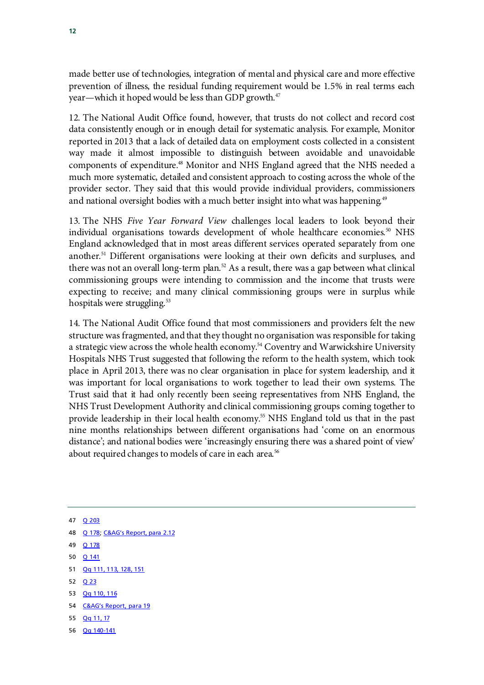made better use of technologies, integration of mental and physical care and more effective prevention of illness, the residual funding requirement would be 1.5% in real terms each year—which it hoped would be less than GDP growth.<sup>[47](#page-13-0)</sup>

12. The National Audit Office found, however, that trusts do not collect and record cost data consistently enough or in enough detail for systematic analysis. For example, Monitor reported in 2013 that a lack of detailed data on employment costs collected in a consistent way made it almost impossible to distinguish between avoidable and unavoidable components of expenditure[.48](#page-13-1) Monitor and NHS England agreed that the NHS needed a much more systematic, detailed and consistent approach to costing across the whole of the provider sector. They said that this would provide individual providers, commissioners and national oversight bodies with a much better insight into what was happening.<sup>[49](#page-13-2)</sup>

13. The NHS *Five Year Forward View* challenges local leaders to look beyond their individual organisations towards development of whole healthcare economies.<sup>[50](#page-13-3)</sup> NHS England acknowledged that in most areas different services operated separately from one another[.51](#page-13-4) Different organisations were looking at their own deficits and surpluses, and there was not an overall long-term plan. $52$  As a result, there was a gap between what clinical commissioning groups were intending to commission and the income that trusts were expecting to receive; and many clinical commissioning groups were in surplus while hospitals were struggling.<sup>[53](#page-13-6)</sup>

14. The National Audit Office found that most commissioners and providers felt the new structure was fragmented, and that they thought no organisation was responsible for taking a strategic view across the whole health economy.<sup>54</sup> Coventry and Warwickshire University Hospitals NHS Trust suggested that following the reform to the health system, which took place in April 2013, there was no clear organisation in place for system leadership, and it was important for local organisations to work together to lead their own systems. The Trust said that it had only recently been seeing representatives from NHS England, the NHS Trust Development Authority and clinical commissioning groups coming together to provide leadership in their local health economy. [55](#page-13-8) NHS England told us that in the past nine months relationships between different organisations had 'come on an enormous distance'; and national bodies were 'increasingly ensuring there was a shared point of view' about required changes to models of care in each area. [56](#page-13-9)

<span id="page-13-0"></span>47 [Q 203](http://data.parliament.uk/writtenevidence/committeeevidence.svc/evidencedocument/public-accounts-committee/financial-sustainability-of-nhs-bodies/oral/15643.html)

- <span id="page-13-1"></span>48 [Q 178;](http://data.parliament.uk/writtenevidence/committeeevidence.svc/evidencedocument/public-accounts-committee/financial-sustainability-of-nhs-bodies/oral/15643.html) [C&AG's Report, para 2.12](http://www.nao.org.uk/wp-content/uploads/2014/11/The-financial-sustainability-of-NHS-bodies.pdf)
- <span id="page-13-2"></span>49 **[Q 178](http://data.parliament.uk/writtenevidence/committeeevidence.svc/evidencedocument/public-accounts-committee/financial-sustainability-of-nhs-bodies/oral/15643.html)**
- <span id="page-13-3"></span>50 [Q 141](http://data.parliament.uk/writtenevidence/committeeevidence.svc/evidencedocument/public-accounts-committee/financial-sustainability-of-nhs-bodies/oral/15643.html)
- <span id="page-13-4"></span>51 [Qq 111, 113, 128, 151](http://data.parliament.uk/writtenevidence/committeeevidence.svc/evidencedocument/public-accounts-committee/financial-sustainability-of-nhs-bodies/oral/15643.html)
- <span id="page-13-5"></span>52 [Q 23](http://data.parliament.uk/writtenevidence/committeeevidence.svc/evidencedocument/public-accounts-committee/financial-sustainability-of-nhs-bodies/oral/15643.html)
- <span id="page-13-6"></span>53 [Qq 110, 116](http://data.parliament.uk/writtenevidence/committeeevidence.svc/evidencedocument/public-accounts-committee/financial-sustainability-of-nhs-bodies/oral/15643.html)
- <span id="page-13-7"></span>54 [C&AG's Report, para 19](http://www.nao.org.uk/wp-content/uploads/2014/11/The-financial-sustainability-of-NHS-bodies.pdf)
- <span id="page-13-8"></span>55 [Qq 11, 17](http://data.parliament.uk/writtenevidence/committeeevidence.svc/evidencedocument/public-accounts-committee/financial-sustainability-of-nhs-bodies/oral/15643.html)
- <span id="page-13-9"></span>56 [Qq 140-141](http://data.parliament.uk/writtenevidence/committeeevidence.svc/evidencedocument/public-accounts-committee/financial-sustainability-of-nhs-bodies/oral/15643.html)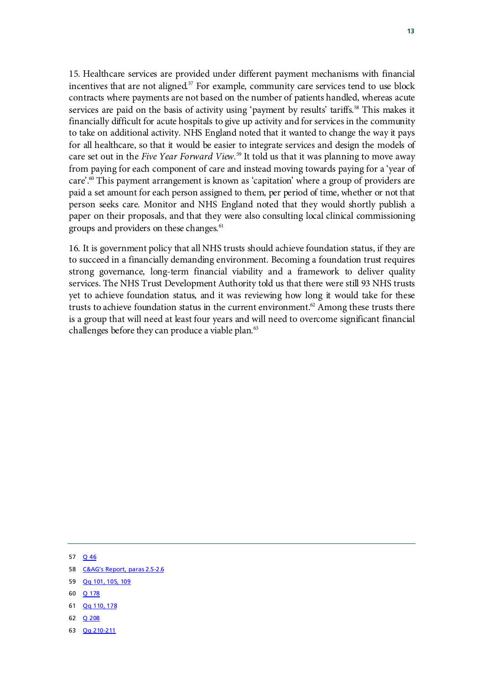15. Healthcare services are provided under different payment mechanisms with financial incentives that are not aligned. $57$  For example, community care services tend to use block contracts where payments are not based on the number of patients handled, whereas acute services are paid on the basis of activity using 'payment by results' tariffs.<sup>[58](#page-14-1)</sup> This makes it financially difficult for acute hospitals to give up activity and for services in the community to take on additional activity. NHS England noted that it wanted to change the way it pays for all healthcare, so that it would be easier to integrate services and design the models of care set out in the *Five Year Forward View.*[59](#page-14-2) It told us that it was planning to move away from paying for each component of care and instead moving towards paying for a 'year of  $\text{care}^{\text{2,60}}$  $\text{care}^{\text{2,60}}$  $\text{care}^{\text{2,60}}$  This payment arrangement is known as 'capitation' where a group of providers are paid a set amount for each person assigned to them, per period of time, whether or not that person seeks care. Monitor and NHS England noted that they would shortly publish a paper on their proposals, and that they were also consulting local clinical commissioning groups and providers on these changes.<sup>[61](#page-14-4)</sup>

16. It is government policy that all NHS trusts should achieve foundation status, if they are to succeed in a financially demanding environment. Becoming a foundation trust requires strong governance, long-term financial viability and a framework to deliver quality services. The NHS Trust Development Authority told us that there were still 93 NHS trusts yet to achieve foundation status, and it was reviewing how long it would take for these trusts to achieve foundation status in the current environment.<sup>62</sup> Among these trusts there is a group that will need at least four years and will need to overcome significant financial challenges before they can produce a viable plan. $\mathfrak{S}$ 

- <span id="page-14-0"></span>57 [Q 46](http://data.parliament.uk/writtenevidence/committeeevidence.svc/evidencedocument/public-accounts-committee/financial-sustainability-of-nhs-bodies/oral/15643.html)
- <span id="page-14-1"></span>58 [C&AG's Report, paras 2.5-2.6](http://www.nao.org.uk/wp-content/uploads/2014/11/The-financial-sustainability-of-NHS-bodies.pdf)
- <span id="page-14-2"></span>59 [Qq 101, 105, 109](http://data.parliament.uk/writtenevidence/committeeevidence.svc/evidencedocument/public-accounts-committee/financial-sustainability-of-nhs-bodies/oral/15643.html)
- <span id="page-14-3"></span>60 [Q 178](http://data.parliament.uk/writtenevidence/committeeevidence.svc/evidencedocument/public-accounts-committee/financial-sustainability-of-nhs-bodies/oral/15643.html)
- <span id="page-14-4"></span>61 [Qq 110, 178](http://data.parliament.uk/writtenevidence/committeeevidence.svc/evidencedocument/public-accounts-committee/financial-sustainability-of-nhs-bodies/oral/15643.html)
- <span id="page-14-5"></span>62 [Q 208](http://data.parliament.uk/writtenevidence/committeeevidence.svc/evidencedocument/public-accounts-committee/financial-sustainability-of-nhs-bodies/oral/15643.html)
- <span id="page-14-6"></span>63 [Qq 210-211](http://data.parliament.uk/writtenevidence/committeeevidence.svc/evidencedocument/public-accounts-committee/financial-sustainability-of-nhs-bodies/oral/15643.html)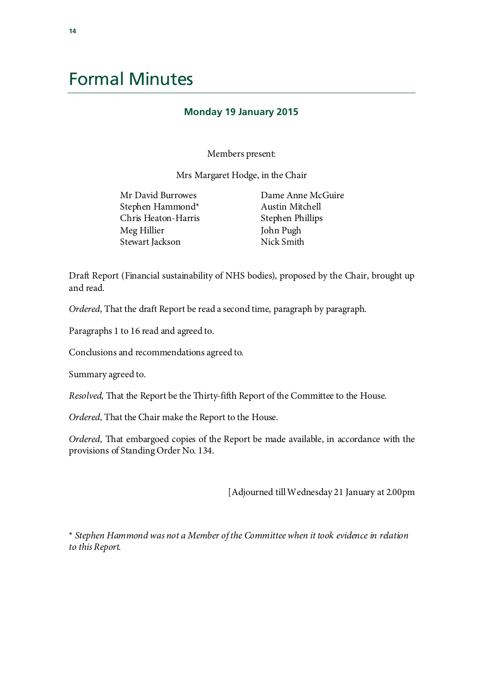# Formal Minutes

### **Monday 19 January 2015**

Members present:

Mrs Margaret Hodge, in the Chair

| Dame Anne McGuire |
|-------------------|
| Austin Mitchell   |
| Stephen Phillips  |
| John Pugh         |
| Nick Smith        |
|                   |

Draft Report (Financial sustainability of NHS bodies), proposed by the Chair, brought up and read.

*Ordered*, That the draft Report be read a second time, paragraph by paragraph.

Paragraphs 1 to 16 read and agreed to.

Conclusions and recommendations agreed to.

Summary agreed to.

*Resolved*, That the Report be the Thirty-fifth Report of the Committee to the House.

*Ordered*, That the Chair make the Report to the House.

*Ordered*, That embargoed copies of the Report be made available, in accordance with the provisions of Standing Order No. 134.

[Adjourned till Wednesday 21 January at 2.00pm

\* *Stephen Hammond was not a Member of the Committee when it took evidence in relation to this Report.*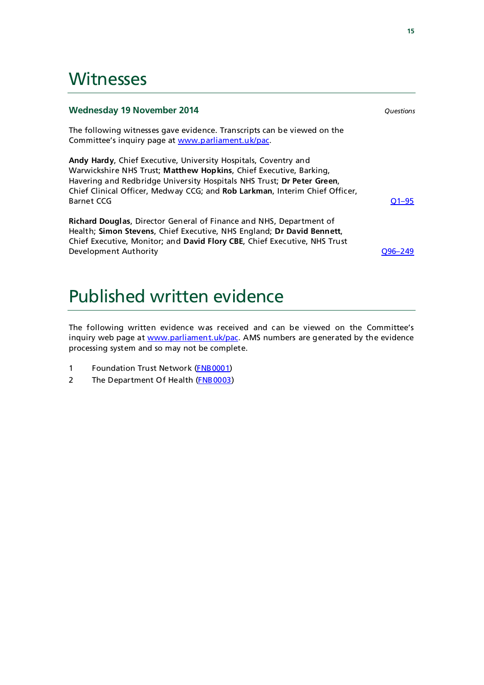### **Witnesses**

### **Wednesday 19 November 2014** *Questions*

The following witnesses gave evidence. Transcripts can be viewed on the Committee's inquiry page at [www.parliament.uk/pac.](http://www.parliament.uk/pac)

**Andy Hardy**, Chief Executive, University Hospitals, Coventry and Warwickshire NHS Trust; **Matthew Hopkins**, Chief Executive, Barking, Havering and Redbridge University Hospitals NHS Trust; **Dr Peter Green**, Chief Clinical Officer, Medway CCG; and **Rob Larkman**, Interim Chief Officer, Barnet CCG [Q1–95](http://data.parliament.uk/writtenevidence/committeeevidence.svc/evidencedocument/public-accounts-committee/financial-sustainability-of-nhs-bodies/oral/15643.html)

**Richard Douglas**, Director General of Finance and NHS, Department of Health; **Simon Stevens**, Chief Executive, NHS England; **Dr David Bennett**, Chief Executive, Monitor; and **David Flory CBE**, Chief Executive, NHS Trust Development Authority [Q96–249](http://data.parliament.uk/writtenevidence/committeeevidence.svc/evidencedocument/public-accounts-committee/financial-sustainability-of-nhs-bodies/oral/15643.html)

## Published written evidence

The following written evidence was received and can be viewed on the Committee's inquiry web page at [www.parliament.uk/pac.](http://www.parliament.uk/pac) AMS numbers are generated by the evidence processing system and so may not be complete.

- 1 Foundation Trust Network [\(FNB0001\)](http://data.parliament.uk/WrittenEvidence/CommitteeEvidence.svc/EvidenceDocument/Public%20Accounts/Financial%20sustainability%20of%20NHS%20bodies/written/15617.html)
- 2 The Department Of Health [\(FNB0003\)](http://data.parliament.uk/WrittenEvidence/CommitteeEvidence.svc/EvidenceDocument/Public%20Accounts/Financial%20sustainability%20of%20NHS%20bodies/written/17385.html)